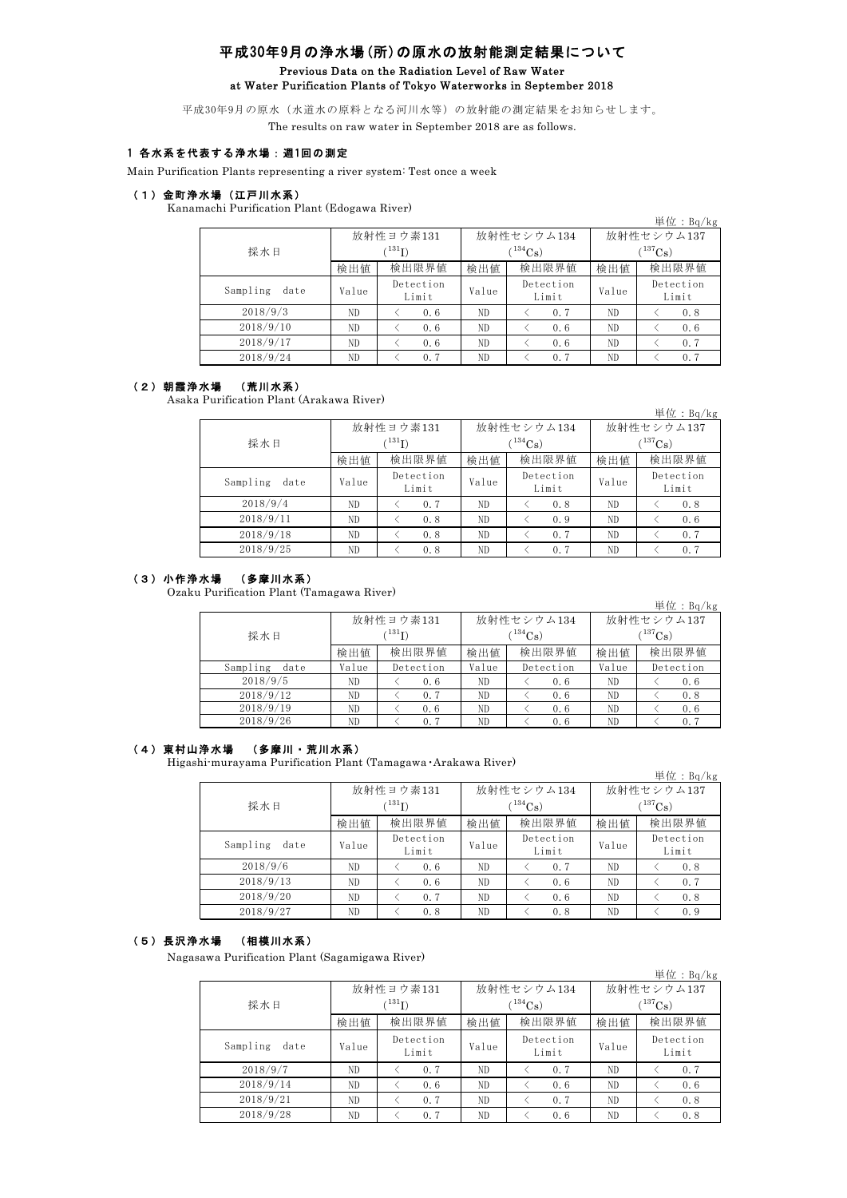### 平成30年9月の浄水場(所)の原水の放射能測定結果について Previous Data on the Radiation Level of Raw Water at Water Purification Plants of Tokyo Waterworks in September 2018

平成30年9月の原水(水道水の原料となる河川水等)の放射能の測定結果をお知らせします。 The results on raw water in September 2018 are as follows.

# 1 各水系を代表する浄水場:週1回の測定

Main Purification Plants representing a river system: Test once a week

### (1)金町浄水場(江戸川水系)

Kanamachi Purification Plant (Edogawa River)

|           |                                                                                                  |             |     |                  |              | 単位: $Bq/kg$        |  |
|-----------|--------------------------------------------------------------------------------------------------|-------------|-----|------------------|--------------|--------------------|--|
|           |                                                                                                  | 放射性ヨウ素131   |     | 放射性セシウム134       | 放射性セシウム137   |                    |  |
| 採水日       |                                                                                                  | $^{131}$ I) |     | $\rm ^{(134}Cs)$ | $(^{137}Cs)$ |                    |  |
|           | 検出限界値<br>検出限界値<br>検出値<br>検出値<br>検出値<br>Detection<br>Detection<br>date<br>Value<br>Value<br>Value | 検出限界値       |     |                  |              |                    |  |
| Sampling  |                                                                                                  | Limit       |     | Limit            |              | Detection<br>Limit |  |
| 2018/9/3  | ND.                                                                                              | 0.6         | ND. | 0.7              | ND           | 0.8                |  |
| 2018/9/10 | ND.                                                                                              | 0.6         | ND. | 0.6              | ND           | 0.6                |  |
| 2018/9/17 | ND.                                                                                              | 0.6         | ND. | 0.6              | ND.          | 0.7                |  |
| 2018/9/24 | ND                                                                                               | 0.7         | ND  | 0.7              | ND           | 0.7                |  |

#### (2)朝霞浄水場 (荒川水系)

Asaka Purification Plant (Arakawa River)

|                  |       |                    |                             |            |              | 単位: $Bq/kg$        |  |
|------------------|-------|--------------------|-----------------------------|------------|--------------|--------------------|--|
|                  |       | 放射性ヨウ素131          |                             | 放射性セシウム134 | 放射性セシウム137   |                    |  |
| 採水日              |       | $(^{131}I)$        |                             | $(134)$ Cs | $(^{137}Cs)$ |                    |  |
|                  | 検出値   | 検出限界値              | 検出値                         | 検出限界値      | 検出値          | 検出限界値              |  |
| Sampling<br>date | Value | Detection<br>Limit | Detection<br>Value<br>Limit |            | Value        | Detection<br>Limit |  |
| 2018/9/4         | ND.   | 0.7                | ND                          | 0.8        | ND           | 0.8                |  |
| 2018/9/11        | ND.   | 0.8                | ND                          | 0.9        | ND           | 0.6                |  |
| 2018/9/18        | ND.   | 0.8                | ND                          | 0.7        | ND           | 0.7                |  |
| 2018/9/25        | ND.   | 0.8                | ND                          | 0.7        | ND.          | 0.7                |  |

#### (3)小作浄水場 (多摩川水系)

Ozaku Purification Plant (Tamagawa River)

|                  |                |           |       |            |                   | 単位: $Bq/kg$ |  |
|------------------|----------------|-----------|-------|------------|-------------------|-------------|--|
|                  |                | 放射性ヨウ素131 |       | 放射性セシウム134 | 放射性セシウム137        |             |  |
| 採水日              | $\rm ^{131}I)$ |           |       | $134C_8$ ) | 137 <sub>Cs</sub> |             |  |
|                  | 検出値            | 検出限界値     | 検出値   | 検出限界値      | 検出値               | 検出限界値       |  |
| Sampling<br>date | Value          | Detection | Value | Detection  | Value             | Detection   |  |
| 2018/9/5         | ND.            | 0.6       | ND.   | 0.6        | ND.               | 0.6         |  |
| 2018/9/12        | ND             | 0.7       | ND    | 0.6        | ND                | 0.8         |  |
| 2018/9/19        | ND.            | 0.6       | ND    | 0.6        | ND.               | 0.6         |  |
| 2018/9/26        | ND             | 0.7       | ND    | 0.6        | ND                | 0.7         |  |

### (4)東村山浄水場 (多摩川・荒川水系)

Higashi-murayama Purification Plant (Tamagawa・Arakawa River)

|                  |                                                                                                                                                                                                                                                                        |             |              |              | 単位: $Bq/kg$        |  |
|------------------|------------------------------------------------------------------------------------------------------------------------------------------------------------------------------------------------------------------------------------------------------------------------|-------------|--------------|--------------|--------------------|--|
|                  |                                                                                                                                                                                                                                                                        |             |              | 放射性セシウム137   |                    |  |
| 採水日              |                                                                                                                                                                                                                                                                        | $^{131}$ I) | $^{134}Cs$ ) | $(^{137}Cs)$ |                    |  |
|                  | 放射性セシウム134<br>放射性ヨウ素131<br>検出限界値<br>検出限界値<br>検出値<br>検出値<br>検出値<br>Detection<br>Detection<br>Value<br>Value<br>Value<br>Limit<br>Limit<br>ND<br>ND.<br>0.6<br>ND<br>0.7<br>ND<br>ND<br>ND<br>0.6<br>0.6<br>ND<br>ND<br>ND<br>0.7<br>0.6<br>ND<br>0.8<br>0.8<br>ND<br>ND | 検出限界値       |              |              |                    |  |
| Sampling<br>date |                                                                                                                                                                                                                                                                        |             |              |              | Detection<br>Limit |  |
| 2018/9/6         |                                                                                                                                                                                                                                                                        |             |              |              | 0.8                |  |
| 2018/9/13        |                                                                                                                                                                                                                                                                        |             |              |              | 0.7                |  |
| 2018/9/20        |                                                                                                                                                                                                                                                                        |             |              |              | 0.8                |  |
| 2018/9/27        |                                                                                                                                                                                                                                                                        |             |              |              | 0.9                |  |

# (5)長沢浄水場 (相模川水系)

Nagasawa Purification Plant (Sagamigawa River)

|                  |       |                                                                                                                                                                                                                                                            |               |            | 単位: $Bq/kg$        |  |
|------------------|-------|------------------------------------------------------------------------------------------------------------------------------------------------------------------------------------------------------------------------------------------------------------|---------------|------------|--------------------|--|
|                  |       |                                                                                                                                                                                                                                                            |               | 放射性セシウム137 |                    |  |
| 採水日              |       | $^{131}$ I)                                                                                                                                                                                                                                                | $T^{134}$ Cs) | $(137)$ Cs |                    |  |
|                  | 検出値   | 放射性セシウム134<br>放射性ヨウ素131<br>検出限界値<br>検出限界値<br>検出値<br>検出値<br>Detection<br>Detection<br>Value<br>Value<br>Limit<br>Limit<br>ND.<br>ND<br>ND<br>0.7<br>0.7<br>ND.<br>ND<br>0.6<br>ND<br>0.6<br>ND.<br>0.7<br>ND<br>0.7<br>ND<br>ND.<br>0.7<br>ND<br>ND.<br>0.6 | 検出限界値         |            |                    |  |
| Sampling<br>date | Value |                                                                                                                                                                                                                                                            |               |            | Detection<br>Limit |  |
| 2018/9/7         |       |                                                                                                                                                                                                                                                            |               |            | 0.7                |  |
| 2018/9/14        |       |                                                                                                                                                                                                                                                            |               |            | 0.6                |  |
| 2018/9/21        |       |                                                                                                                                                                                                                                                            |               |            | 0.8                |  |
| 2018/9/28        |       |                                                                                                                                                                                                                                                            |               |            | 0.8                |  |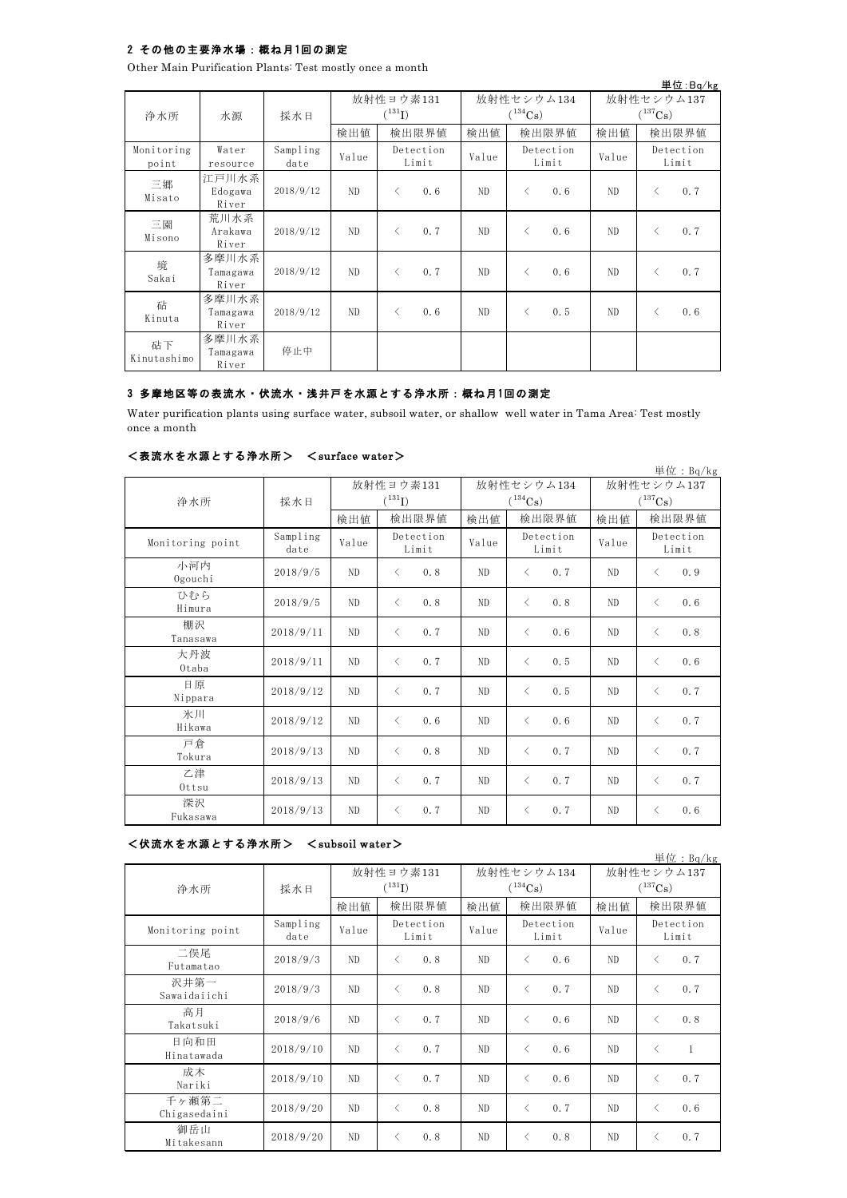# 2 その他の主要浄水場:概ね月1回の測定

Other Main Purification Plants: Test mostly once a month

|                     |                            |                  |       |             |                    |            |                                          |                    |              |           | 単位:Bq/kg           |
|---------------------|----------------------------|------------------|-------|-------------|--------------------|------------|------------------------------------------|--------------------|--------------|-----------|--------------------|
|                     |                            |                  |       | 放射性ヨウ素131   |                    | 放射性セシウム134 |                                          |                    | 放射性セシウム137   |           |                    |
| 浄水所                 | 水源                         | 採水日              |       | $(^{131}I)$ |                    |            | $(^{134}Cs)$                             |                    | $(^{137}Cs)$ |           |                    |
|                     |                            |                  | 検出値   |             | 検出限界値              | 検出値        |                                          | 検出限界値              | 検出値          |           | 検出限界値              |
| Monitoring<br>point | Water<br>resource          | Sampling<br>date | Value |             | Detection<br>Limit | Value      |                                          | Detection<br>Limit | Value        |           | Detection<br>Limit |
| 三郷<br>Misato        | 江戸川水系<br>Edogawa<br>River  | 2018/9/12        | ND.   | $\langle$   | 0.6                | ND.        | $\langle$                                | 0.6                | ND           | $\langle$ | 0.7                |
| 三園<br>Misono        | 荒川水系<br>Arakawa<br>River   | 2018/9/12        | ND.   | $\langle$   | 0.7                | ND.        | $\langle$                                | 0.6                | ND           | $\lt$     | 0.7                |
| 境<br>Sakai          | 多摩川水系<br>Tamagawa<br>River | 2018/9/12        | ND.   | $\langle$   | 0.7                | ND.        | $\langle$                                | 0.6                | ND           | $\langle$ | 0.7                |
| 砧<br>Kinuta         | 多摩川水系<br>Tamagawa<br>River | 2018/9/12        | ND.   | $\langle$   | 0.6                | ND         | $\overline{\left\langle \right\rangle }$ | 0.5                | ND           | $\langle$ | 0.6                |
| 砧下<br>Kinutashimo   | 多摩川水系<br>Tamagawa<br>River | 停止中              |       |             |                    |            |                                          |                    |              |           |                    |

# 3 多摩地区等の表流水・伏流水・浅井戸を水源とする浄水所:概ね月 1回の測定

Water purification plants using surface water, subsoil water, or shallow well water in Tama Area: Test mostly once a month

### <表流水を水源とする浄水所> <surface water>

|                  |                  |                |                                   |       |                            |                                     | 単位: Bq/kg          |  |
|------------------|------------------|----------------|-----------------------------------|-------|----------------------------|-------------------------------------|--------------------|--|
| 浄水所              | 採水日              |                | 放射性ヨウ素131<br>$({}^{131}\text{I})$ |       | 放射性セシウム134<br>$(^{134}Cs)$ | 放射性セシウム137<br>$(^{137}\mathrm{Cs})$ |                    |  |
|                  |                  | 検出値            | 検出限界値                             | 検出値   | 検出限界値                      | 検出値                                 | 検出限界値              |  |
| Monitoring point | Sampling<br>date | Value          | Detection<br>Limit                | Value | Detection<br>Limit         | Value                               | Detection<br>Limit |  |
| 小河内<br>Ogouchi   | 2018/9/5         | N <sub>D</sub> | 0.8<br>$\langle$                  | ND    | 0.7<br>$\langle$           | ND                                  | 0.9<br>✓           |  |
| ひむら<br>Himura    | 2018/9/5         | ND             | 0.8<br>$\langle$                  | ND    | $\langle$<br>0.8           | ND                                  | 0.6<br>$\langle$   |  |
| 棚沢<br>Tanasawa   | 2018/9/11        | N <sub>D</sub> | $\langle$<br>0.7                  | ND    | $\langle$<br>0.6           | ND                                  | 0.8<br>$\lt$       |  |
| 大丹波<br>Otaba     | 2018/9/11        | ND             | $\langle$<br>0.7                  | ND    | 0.5<br>$\langle$           | ND                                  | 0.6<br>$\langle$   |  |
| 日原<br>Nippara    | 2018/9/12        | ND.            | $\langle$<br>0.7                  | ND    | 0.5<br>$\langle$           | ND                                  | 0.7<br>$\langle$   |  |
| 氷川<br>Hikawa     | 2018/9/12        | N <sub>D</sub> | 0.6<br>$\langle$                  | ND    | $\langle$<br>0.6           | ND                                  | 0.7<br>$\langle$   |  |
| 戸倉<br>Tokura     | 2018/9/13        | N <sub>D</sub> | 0.8<br>$\langle$                  | ND    | 0.7<br>$\langle$           | ND                                  | 0.7<br>$\langle$   |  |
| 乙津<br>Ottsu      | 2018/9/13        | ND             | 0.7<br>$\langle$                  | ND    | $\langle$<br>0.7           | ND                                  | 0.7<br>$\langle$   |  |
| 深沢<br>Fukasawa   | 2018/9/13        | N <sub>D</sub> | 0.7<br>$\langle$                  | ND    | 0.7<br>$\langle$           | ND                                  | 0.6<br>$\langle$   |  |

<伏流水を水源とする浄水所> <subsoil water>

単位:Bq/kg

|                       |                  |           |                                                 |       |                    |              | $+1$ $  +$ $ +$ $ +$ $  -$ |
|-----------------------|------------------|-----------|-------------------------------------------------|-------|--------------------|--------------|----------------------------|
|                       |                  | 放射性ヨウ素131 |                                                 |       | 放射性セシウム134         | 放射性セシウム137   |                            |
| 浄水所                   | 採水日              |           | $(^{131}\mathrm{I})$                            |       | $(^{134}Cs)$       | $(^{137}Cs)$ |                            |
|                       |                  | 検出値       | 検出限界値                                           | 検出値   | 検出限界値              | 検出値          | 検出限界値                      |
| Monitoring point      | Sampling<br>date | Value     | Detection<br>Limit                              | Value | Detection<br>Limit | Value        | Detection<br>Limit         |
| 二俣尾<br>Futamatao      | 2018/9/3         | ND        | 0.8<br>$\langle$                                | ND    | 0.6<br>$\langle$   | ND           | 0.7<br>$\lt$               |
| 沢井第一<br>Sawaidaiichi  | 2018/9/3         | ND.       | 0.8<br>$\langle$                                | ND    | 0.7<br>$\langle$   | ND.          | 0.7<br>$\langle$           |
| 高月<br>Takatsuki       | 2018/9/6         | ND.       | 0.7<br>$\langle$                                | ND    | $\langle$<br>0.6   | ND           | 0.8<br>$\langle$           |
| 日向和田<br>Hinatawada    | 2018/9/10        | ND.       | 0.7<br>$\langle$                                | ND.   | $\langle$<br>0.6   | ND           | $\langle$<br>1             |
| 成木<br>Nariki          | 2018/9/10        | ND.       | 0.7<br>$\langle$                                | ND.   | 0.6<br>$\langle$   | ND           | 0.7<br>$\langle$           |
| 千ヶ瀬第二<br>Chigasedaini | 2018/9/20        | ND.       | 0.8<br>$\overline{\left\langle \right\rangle }$ | ND    | 0.7<br>$\langle$   | ND           | 0.6<br>$\langle$           |
| 御岳山<br>Mitakesann     | 2018/9/20        | ND.       | 0.8<br>$\langle$                                | ND.   | 0.8<br>$\langle$   | ND           | 0.7<br>८                   |